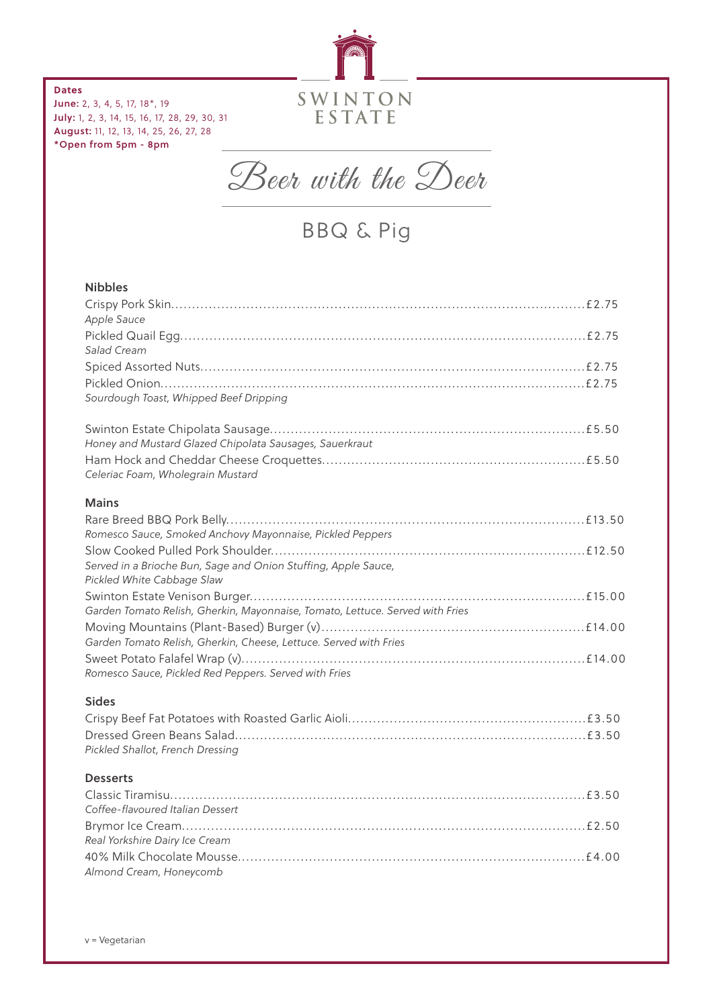

**Dates** June: 2, 3, 4, 5, 17, 18\*, 19 July: 1, 2, 3, 14, 15, 16, 17, 28, 29, 30, 31 August: 11, 12, 13, 14, 25, 26, 27, 28 \*Open from 5pm - 8pm



BBQ & Pig

# Nibbles

| Apple Sauce                                                                                  |
|----------------------------------------------------------------------------------------------|
| Salad Cream                                                                                  |
|                                                                                              |
|                                                                                              |
| Sourdough Toast, Whipped Beef Dripping                                                       |
|                                                                                              |
| Honey and Mustard Glazed Chipolata Sausages, Sauerkraut                                      |
| Celeriac Foam, Wholegrain Mustard                                                            |
| <b>Mains</b>                                                                                 |
|                                                                                              |
| Romesco Sauce, Smoked Anchovy Mayonnaise, Pickled Peppers                                    |
|                                                                                              |
| Served in a Brioche Bun, Sage and Onion Stuffing, Apple Sauce,<br>Pickled White Cabbage Slaw |
|                                                                                              |
| Garden Tomato Relish, Gherkin, Mayonnaise, Tomato, Lettuce. Served with Fries                |
|                                                                                              |
| Garden Tomato Relish, Gherkin, Cheese, Lettuce. Served with Fries                            |
| Romesco Sauce, Pickled Red Peppers. Served with Fries                                        |
| <b>Sides</b>                                                                                 |
|                                                                                              |
|                                                                                              |
| Pickled Shallot, French Dressing                                                             |
| <b>Desserts</b>                                                                              |
| Coffee-flavoured Italian Dessert                                                             |
| Real Yorkshire Dairy Ice Cream                                                               |
|                                                                                              |
| Almond Cream, Honeycomb                                                                      |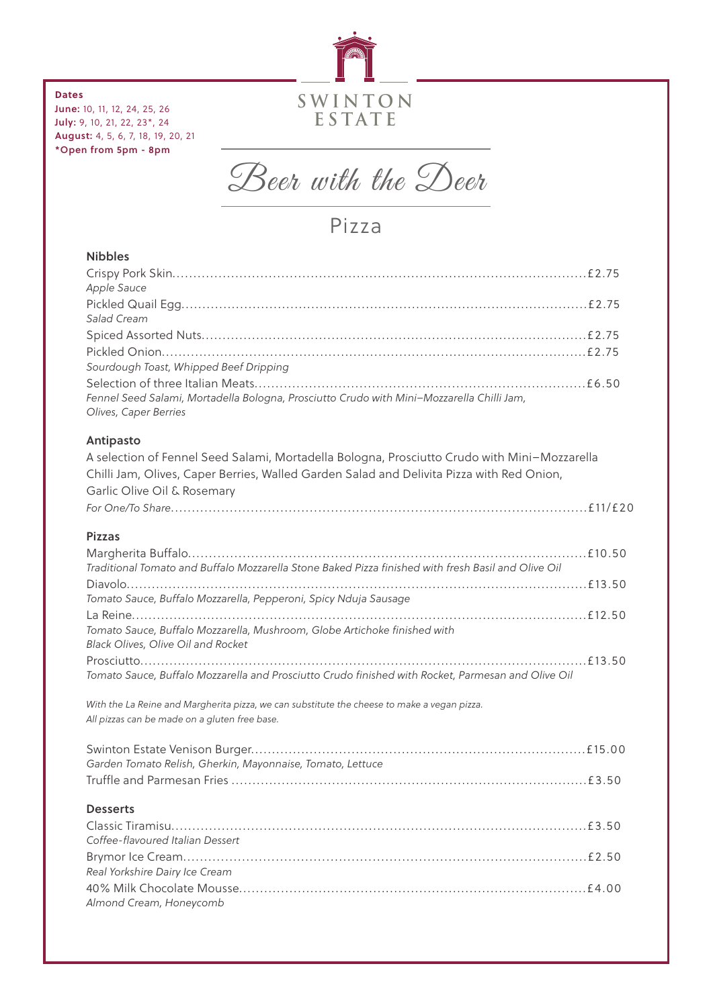

#### **Dates**

June: 10, 11, 12, 24, 25, 26 July: 9, 10, 21, 22, 23\*, 24 August: 4, 5, 6, 7, 18, 19, 20, 21 \*Open from 5pm - 8pm



Pizza

# Nibbles

| Antipasto                                                                                                          |  |
|--------------------------------------------------------------------------------------------------------------------|--|
| Fennel Seed Salami, Mortadella Bologna, Prosciutto Crudo with Mini-Mozzarella Chilli Jam,<br>Olives, Caper Berries |  |
|                                                                                                                    |  |
| Sourdough Toast, Whipped Beef Dripping                                                                             |  |
|                                                                                                                    |  |
|                                                                                                                    |  |
| Salad Cream                                                                                                        |  |
| Apple Sauce                                                                                                        |  |
|                                                                                                                    |  |

A selection of Fennel Seed Salami, Mortadella Bologna, Prosciutto Crudo with Mini–Mozzarella Chilli Jam, Olives, Caper Berries, Walled Garden Salad and Delivita Pizza with Red Onion, Garlic Olive Oil & Rosemary *For One/To Share*...................................................................................................£11/£20

#### Pizzas

| Traditional Tomato and Buffalo Mozzarella Stone Baked Pizza finished with fresh Basil and Olive Oil |  |
|-----------------------------------------------------------------------------------------------------|--|
|                                                                                                     |  |
| Tomato Sauce, Buffalo Mozzarella, Pepperoni, Spicy Nduja Sausage                                    |  |
|                                                                                                     |  |
| Tomato Sauce, Buffalo Mozzarella, Mushroom, Globe Artichoke finished with                           |  |
| <b>Black Olives, Olive Oil and Rocket</b>                                                           |  |
|                                                                                                     |  |
| Tomato Sauce, Buffalo Mozzarella and Prosciutto Crudo finished with Rocket, Parmesan and Olive Oil  |  |

*With the La Reine and Margherita pizza, we can substitute the cheese to make a vegan pizza. All pizzas can be made on a gluten free base.*

| Garden Tomato Relish, Gherkin, Mayonnaise, Tomato, Lettuce |  |
|------------------------------------------------------------|--|
|                                                            |  |

#### **Desserts**

| Coffee-flavoured Italian Dessert |  |
|----------------------------------|--|
|                                  |  |
| Real Yorkshire Dairy Ice Cream   |  |
|                                  |  |
| Almond Cream, Honeycomb          |  |